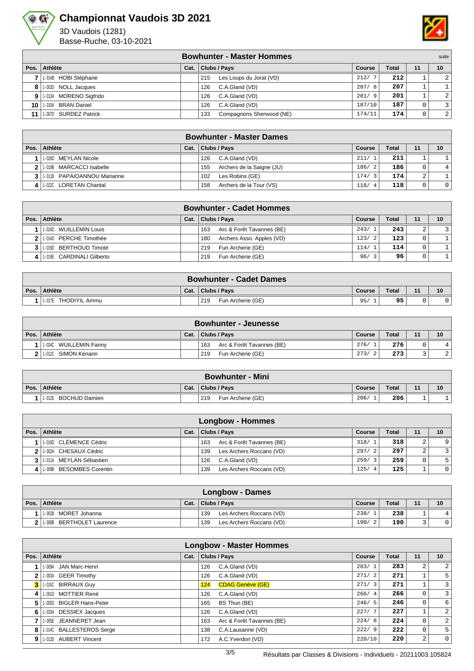

## **Championnat Vaudois 3D 2021**

3D Vaudois (1281) Basse-Ruche, 03-10-2021



|                 |                          |      | <b>Bowhunter - Master Hommes</b> |               |              |          | suite |
|-----------------|--------------------------|------|----------------------------------|---------------|--------------|----------|-------|
|                 | Pos. Athlète             | Cat. | <b>Clubs / Pays</b>              | <b>Course</b> | <b>Total</b> | 11       | 10    |
|                 | 7 1.014B HOBI Stéphane   |      | Les Loups du Jorat (VD)<br>215   | 212/7         | 212          |          | 2     |
|                 | 8 1.003D NOLL Jacques    |      | C.A.Gland (VD)<br>126            | 207/8         | 207          |          |       |
|                 | 9 1-013A MORENO Sigfrido |      | C.A.Gland (VD)<br>126            | 201/9         | 201          |          | 2     |
|                 | 10 1.010A BRAN Daniel    |      | C.A.Gland (VD)<br>126            | 187/10        | 187          |          |       |
| 11 <sup>1</sup> | 1.007D SURDEZ Patrick    |      | Compagnons Sherwood (NE)<br>133  | 174/11        | 174          | $\Omega$ | 2     |

| <b>Bowhunter - Master Dames</b> |      |                                  |                        |              |        |                |  |  |  |  |
|---------------------------------|------|----------------------------------|------------------------|--------------|--------|----------------|--|--|--|--|
| Pos. Athlète                    | Cat. | Clubs / Pays                     | Course                 | <b>Total</b> | 11     | 10             |  |  |  |  |
| 1-028D MEYLAN Nicole            |      | C.A.Gland (VD)<br>126            | 211/1                  | 211          |        |                |  |  |  |  |
| 2 1.018B MARCACCI Isabelle      |      | Archers de la Saigne (JU)<br>155 | 186/2                  | 186          | 0      | 4 <sup>1</sup> |  |  |  |  |
| 3 1 1 011B PAPAIOANNOU Marianne |      | Les Robins (GE)<br>102           | 174/3                  | 174          | $\sim$ |                |  |  |  |  |
| 1-022C LORETAN Chantal          |      | Archers de la Tour (VS)<br>158   | 118/<br>$\overline{4}$ | 118          |        | $\overline{0}$ |  |  |  |  |

| <b>Bowhunter - Cadet Hommes</b> |      |                                  |        |              |    |    |  |  |  |  |
|---------------------------------|------|----------------------------------|--------|--------------|----|----|--|--|--|--|
| Pos. Athlète                    | Cat. | Clubs / Pays                     | Course | <b>Total</b> | 11 | 10 |  |  |  |  |
| 1-024D WUILLEMIN Louis          |      | Arc & Forêt Tavannes (BE)<br>163 | 243/1  | 243          | ∠  |    |  |  |  |  |
| 1.014D PERCHE Timothée          |      | Archers Asso. Apples (VD)<br>180 | 123/2  | 123          |    |    |  |  |  |  |
| 1.019D BERTHOUD Timoté          |      | Fun Archerie (GE)<br>219         | 114/1  | 114          |    |    |  |  |  |  |
| 1-019E CARDINALI Gilberto       |      | Fun Archerie (GE)<br>219         | 96/3   | 96           |    |    |  |  |  |  |

| <b>Bowhunter - Cadet Dames</b> |      |                          |        |       |       |    |  |  |  |
|--------------------------------|------|--------------------------|--------|-------|-------|----|--|--|--|
| Pos. Athlète                   | Cat. | <b>Clubs / Pays</b>      | Course | Total | $-11$ | 10 |  |  |  |
| <b>THODIYIL Ammu</b><br>1-017E |      | 219<br>Fun Archerie (GE) | 95,    | 95    |       |    |  |  |  |

|      | <b>Bowhunter - Jeunesse</b> |      |                                  |        |              |    |                |  |  |  |  |
|------|-----------------------------|------|----------------------------------|--------|--------------|----|----------------|--|--|--|--|
| Pos. | Athlète                     | Cat. | Clubs / Pays                     | Course | <b>Total</b> | 11 | 10             |  |  |  |  |
|      | 1-024C WUILLEMIN Fanny      |      | 163<br>Arc & Forêt Tavannes (BE) | 276/1  | 276          |    |                |  |  |  |  |
|      | 1.012C SIMON Kénann         |      | Fun Archerie (GE)<br>219         | 273/   | 273          |    | $\overline{2}$ |  |  |  |  |

|      | <b>Bowhunter - Mini</b> |      |                          |               |       |    |    |  |  |  |  |
|------|-------------------------|------|--------------------------|---------------|-------|----|----|--|--|--|--|
| Pos. | Athlète                 | Cat. | Clubs / Pays             | <b>Course</b> | Total | 11 | 10 |  |  |  |  |
|      | 1-012E BOCHUD Damien    |      | Fun Archerie (GE)<br>219 | 206/          | 206   |    |    |  |  |  |  |

| <b>Longbow - Hommes</b>     |      |                                  |             |              |        |                |  |  |  |  |
|-----------------------------|------|----------------------------------|-------------|--------------|--------|----------------|--|--|--|--|
| Pos. Athlète                | Cat. | <b>Clubs / Pays</b>              | Course      | <b>Total</b> | 11     | 10             |  |  |  |  |
| 1.018D CLÉMENCE Cédric      |      | Arc & Forêt Tavannes (BE)<br>163 | 318/1       | 318          | $\sim$ | 9              |  |  |  |  |
| 2 1 1 002A CHESAUX Cédric   |      | Les Archers Roccans (VD)<br>139  | 297/2       | 297          | $\sim$ | $\overline{3}$ |  |  |  |  |
| 3 1.011A MEYLAN Sébastien   |      | C.A.Gland (VD)<br>126            | 259/3       | 259          |        | 5 <sup>1</sup> |  |  |  |  |
| 4 1 1009B BESOMBES Corentin |      | Les Archers Roccans (VD)<br>139  | 125/<br>- 4 | 125          |        | $\overline{0}$ |  |  |  |  |

| Longbow - Dames           |      |                                 |        |       |    |    |  |  |  |  |
|---------------------------|------|---------------------------------|--------|-------|----|----|--|--|--|--|
| Pos. Athlète              | Cat. | Clubs / Pays                    | Course | Total | 11 | 10 |  |  |  |  |
| 1-002B MORET Johanna      |      | Les Archers Roccans (VD)<br>139 | 238/   | 238   |    |    |  |  |  |  |
| 1-008B BERTHOLET Laurence |      | Les Archers Roccans (VD)<br>139 | 190/   | 190   |    | 01 |  |  |  |  |

|      | <b>Longbow - Master Hommes</b> |      |                                  |        |              |              |                  |  |  |  |  |  |
|------|--------------------------------|------|----------------------------------|--------|--------------|--------------|------------------|--|--|--|--|--|
| Pos. | Athlète                        | Cat. | Clubs / Pays                     | Course | <b>Total</b> | 11           | 10 <sup>1</sup>  |  |  |  |  |  |
|      | 1-009A JAN Marc-Henri          |      | 126<br>C.A.Gland (VD)            | 283/   | 283          | 2            | $\overline{2}$   |  |  |  |  |  |
| 2    | 1-003A GEER Timothy            |      | C.A.Gland (VD)<br>126            | 271/2  | 271          |              | 5 <sup>1</sup>   |  |  |  |  |  |
|      | 1-015C BIRRAUX Guy             |      | <b>CDAG Genève (GE)</b><br>124   | 271/3  | 271          |              | $\overline{3}$   |  |  |  |  |  |
| 4    | 1-001D MOTTIER René            |      | C.A.Gland (VD)<br>126            | 266/4  | 266          | $\mathbf{0}$ | $\overline{3}$   |  |  |  |  |  |
| 5    | 1-005D BIGLER Hans-Peter       |      | 165<br>BS Thun (BE)              | 246/5  | 246          | 0            | $6 \overline{6}$ |  |  |  |  |  |
| 6    | 1-020A DESSIEX Jacques         |      | C.A.Gland (VD)<br>126            | 227/7  | 227          | п.           | $\overline{2}$   |  |  |  |  |  |
|      | 1-005E JEANNERET Jean          |      | Arc & Forêt Tavannes (BE)<br>163 | 224/8  | 224          | $\mathbf{0}$ | $\overline{2}$   |  |  |  |  |  |
| 8    | 1-014C BALLESTEROS Serge       |      | C.A.Lausanne (VD)<br>138         | 222/9  | 222          | $\mathbf{0}$ | 5 <sup>1</sup>   |  |  |  |  |  |
| 9    | 1-013D AUBERT Vincent          |      | A.C.Yverdon (VD)<br>172          | 220/10 | 220          | 2            | $\overline{0}$   |  |  |  |  |  |